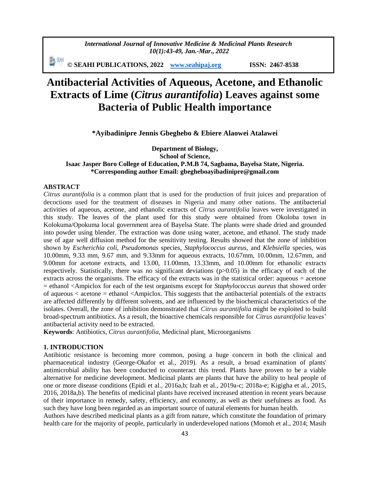*International Journal of Innovative Medicine & Medicinal Plants Research 10(1):43-49, Jan.-Mar., 2022*

副洲 **© SEAHI PUBLICATIONS, 2022 [www.seahipaj.org](http://www.seahipaj.org/) ISSN: 2467-8538**

# **Antibacterial Activities of Aqueous, Acetone, and Ethanolic Extracts of Lime (***Citrus aurantifolia***) Leaves against some Bacteria of Public Health importance**

**\*Ayibadinipre Jennis Gbeghebo & Ebiere Alaowei Atalawei**

**Department of Biology, School of Science, Isaac Jasper Boro College of Education, P.M.B 74, Sagbama, Bayelsa State, Nigeria. \*Corresponding author Email: gbegheboayibadinipre@gmail.com**

## **ABSTRACT**

*Citrus aurantifolia* is a common plant that is used for the production of fruit juices and preparation of decoctions used for the treatment of diseases in Nigeria and many other nations. The antibacterial activities of aqueous, acetone, and ethanolic extracts of *Citrus aurantifolia* leaves were investigated in this study. The leaves of the plant used for this study were obtained from Okoloba town in Kolokuma/Opokuma local government area of Bayelsa State. The plants were shade dried and grounded into powder using blender. The extraction was done using water, acetone, and ethanol. The study made use of agar well diffusion method for the sensitivity testing. Results showed that the zone of inhibition shown by *Escherichia coli*, *Pseudomonas* species, *Staphylococcus aureus*, and *Klebsiella* species, was 10.00mm, 9.33 mm, 9.67 mm, and 9.33mm for aqueous extracts, 10.67mm, 10.00mm, 12.67mm, and 9.00mm for acetone extracts, and 13.00, 11.00mm, 13.33mm, and 10.00mm for ethanolic extracts respectively. Statistically, there was no significant deviations (p>0.05) in the efficacy of each of the extracts across the organisms. The efficacy of the extracts was in the statistical order: aqueous = acetone = ethanol <Ampiclox for each of the test organisms except for *Staphylococcus aureus* that showed order of aqueous < acetone = ethanol <Ampiclox. This suggests that the antibacterial potentials of the extracts are affected differently by different solvents, and are influenced by the biochemical characteristics of the isolates. Overall, the zone of inhibition demonstrated that *Citrus aurantifolia* might be exploited to build broad-spectrum antibiotics. As a result, the bioactive chemicals responsible for *Citrus aurantifolia* leaves' antibacterial activity need to be extracted.

**Keywords**: Antibiotics, *Citrus aurantifolia*, Medicinal plant, Microorganisms

## **1. INTRODUCTION**

Antibiotic resistance is becoming more common, posing a huge concern in both the clinical and pharmaceutical industry (George-Okafor et al., 2019). As a result, a broad examination of plants' antimicrobial ability has been conducted to counteract this trend. Plants have proven to be a viable alternative for medicine development. Medicinal plants are plants that have the ability to heal people of one or more disease conditions (Epidi et al., 2016a,b; Izah et al., 2019a-c; 2018a-e; Kigigha et al., 2015, 2016, 2018a,b). The benefits of medicinal plants have received increased attention in recent years because of their importance in remedy, safety, efficiency, and economy, as well as their usefulness as food. As such they have long been regarded as an important source of natural elements for human health.

Authors have described medicinal plants as a gift from nature, which constitute the foundation of primary health care for the majority of people, particularly in underdeveloped nations (Momoh et al., 2014; Masih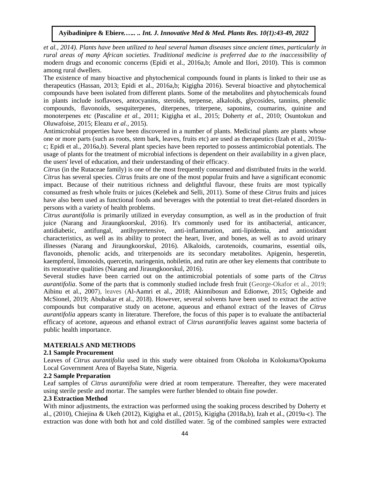*et al., 2014). Plants have been utilized to heal several human diseases since ancient times, particularly in rural areas of many African societies. Traditional medicine is preferred due to the inaccessibility of* modern drugs and economic concerns (Epidi et al., 2016a,b; Amole and IIori, 2010). This is common among rural dwellers.

The existence of many bioactive and phytochemical compounds found in plants is linked to their use as therapeutics (Hassan, 2013; Epidi et al., 2016a,b; Kigigha 2016). Several bioactive and phytochemical compounds have been isolated from different plants. Some of the metabolites and phytochemicals found in plants include isoflavoes, antocyanins, steroids, terpense, alkaloids, glycosides, tannins, phenolic compounds, flavonoids, sesquiterpenes, diterpenes, triterpene, saponins, coumarins, quinine and monoterpenes etc (Pascaline *et al.,* 2011; Kigigha et al., 2015; Doherty *et al.,* 2010; Osuntokun and Oluwafoise, 2015; Eleazu *et al.,* 2015).

Antimicrobial properties have been discovered in a number of plants. Medicinal plants are plants whose one or more parts (such as roots, stem bark, leaves, fruits etc) are used as therapeutics (Izah et al., 2019ac; Epidi et al., 2016a,b). Several plant species have been reported to possess antimicrobial potentials. The usage of plants for the treatment of microbial infections is dependent on their availability in a given place, the users' level of education, and their understanding of their efficacy.

*Citrus* (in the Rutaceae family) is one of the most frequently consumed and distributed fruits in the world. *Citrus* has several species. *Citrus* fruits are one of the most popular fruits and have a significant economic impact. Because of their nutritious richness and delightful flavour, these fruits are most typically consumed as fresh whole fruits or juices (Kelebek and Selli, 2011). Some of these *Citrus* fruits and juices have also been used as functional foods and beverages with the potential to treat diet-related disorders in persons with a variety of health problems.

*Citrus aurantifolia* is primarily utilized in everyday consumption, as well as in the production of fruit juice (Narang and Jiraungkoorskul, 2016). It's commonly used for its antibacterial, anticancer, antidiabetic, antifungal, antihypertensive, anti-inflammation, anti-lipidemia, and antioxidant characteristics, as well as its ability to protect the heart, liver, and bones, as well as to avoid urinary illnesses (Narang and Jiraungkoorskul, 2016). Alkaloids, carotenoids, coumarins, essential oils, flavonoids, phenolic acids, and triterpenoids are its secondary metabolites. Apigenin, hesperetin, kaempferol, limonoids, quercetin, naringenin, nobiletin, and rutin are other key elements that contribute to its restorative qualities (Narang and Jiraungkoorskul, 2016).

Several studies have been carried out on the antimicrobial potentials of some parts of the *Citrus aurantifolia*. Some of the parts that is commonly studied include fresh fruit (George-Okafor et al., 2019; Aibinu et al., 2007), leaves (Al-Aamri et al., 2018; Akinnibosun and Edionwe, 2015; Ogbeide and McSionel, 2019; Abubakar et al., 2018). However, several solvents have been used to extract the active compounds but comparative study on acetone, aqueous and ethanol extract of the leaves of *Citrus aurantifolia* appears scanty in literature. Therefore, the focus of this paper is to evaluate the antibacterial efficacy of acetone, aqueous and ethanol extract of *Citrus aurantifolia* leaves against some bacteria of public health importance.

## **MATERIALS AND METHODS**

#### **2.1 Sample Procurement**

Leaves of *Citrus aurantifolia* used in this study were obtained from Okoloba in Kolokuma/Opokuma Local Government Area of Bayelsa State, Nigeria.

## **2.2 Sample Preparation**

Leaf samples of *Citrus aurantifolia* were dried at room temperature. Thereafter, they were macerated using sterile pestle and mortar. The samples were further blended to obtain fine powder.

# **2.3 Extraction Method**

With minor adjustments, the extraction was performed using the soaking process described by Doherty et al., (2010), Chiejina & Ukeh (2012), Kigigha et al., (2015), Kigigha (2018a,b), Izah et al., (2019a-c). The extraction was done with both hot and cold distilled water. 5g of the combined samples were extracted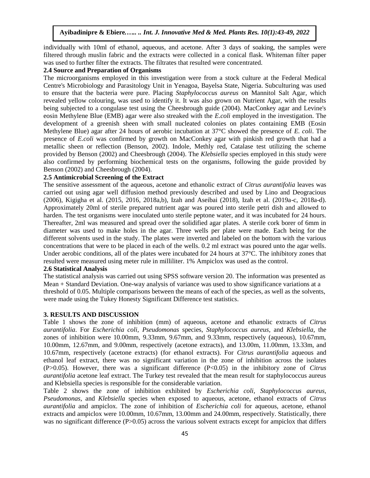individually with 10ml of ethanol, aqueous, and acetone. After 3 days of soaking, the samples were filtered through muslin fabric and the extracts were collected in a conical flask. Whiteman filter paper was used to further filter the extracts. The filtrates that resulted were concentrated.

# **2.4 Source and Preparation of Organisms**

The microorganisms employed in this investigation were from a stock culture at the Federal Medical Centre's Microbiology and Parasitology Unit in Yenagoa, Bayelsa State, Nigeria. Subculturing was used to ensure that the bacteria were pure. Placing *Staphylococcus aureus* on Mannitol Salt Agar, which revealed yellow colouring, was used to identify it. It was also grown on Nutrient Agar, with the results being subjected to a congulase test using the Cheesbrough guide (2004). MacConkey agar and Levine's eosin Methylene Blue (EMB) agar were also streaked with the *E.coli* employed in the investigation. The development of a greenish sheen with small nucleated colonies on plates containing EMB (Eosin Methylene Blue) agar after 24 hours of aerobic incubation at 37°C showed the presence of *E. coli*. The presence of *E.coli* was confirmed by growth on MacConkey agar with pinkish red growth that had a metallic sheen or reflection (Benson, 2002). Indole, Methly red, Catalase test utilizing the scheme provided by Benson (2002) and Cheesbrough (2004). The *Klebsiella* species employed in this study were also confirmed by performing biochemical tests on the organisms, following the guide provided by Benson (2002) and Cheesbrough (2004).

## **2.5 Antimicrobial Screening of the Extract**

The sensitive assessment of the aqueous, acetone and ethanolic extract of *Citrus aurantifolia* leaves was carried out using agar well diffusion method previously described and used by Lino and Deogracious (2006), Kigigha et al. (2015, 2016, 2018a,b), Izah and Aseibai (2018), Izah et al. (2019a-c, 2018a-d). Approximately 20ml of sterile prepared nutrient agar was poured into sterile petri dish and allowed to harden. The test organisms were inoculated unto sterile peptone water, and it was incubated for 24 hours. Thereafter, 2ml was measured and spread over the solidified agar plates. A sterile cork borer of 6mm in diameter was used to make holes in the agar. Three wells per plate were made. Each being for the different solvents used in the study. The plates were inverted and labeled on the bottom with the various concentrations that were to be placed in each of the wells. 0.2 ml extract was poured unto the agar wells. Under aerobic conditions, all of the plates were incubated for 24 hours at 37 °C. The inhibitory zones that resulted were measured using meter rule in milliliter. 1% Ampiclox was used as the control.

# **2.6 Statistical Analysis**

The statistical analysis was carried out using SPSS software version 20. The information was presented as Mean + Standard Deviation. One-way analysis of variance was used to show significance variations at a threshold of 0.05. Multiple comparisons between the means of each of the species, as well as the solvents, were made using the Tukey Honesty Significant Difference test statistics.

#### **3. RESULTS AND DISCUSSION**

Table 1 shows the zone of inhibition (mm) of aqueous, acetone and ethanolic extracts of *Citrus aurantifolia*. For *Escherichia coli, Pseudomonas* species, *Staphylococcus aureus*, and *Klebsiella*, the zones of inhibition were 10.00mm, 9.33mm, 9.67mm, and 9.33mm, respectively (aqueous), 10.67mm, 10.00mm, 12.67mm, and 9.00mm, respectively (acetone extracts), and 13.00m, 11.00mm, 13.33m, and 10.67mm, respectively (acetone extracts) (for ethanol extracts). For *Citrus aurantifolia* aqueous and ethanol leaf extract, there was no significant variation in the zone of inhibition across the isolates (P>0.05). However, there was a significant difference (P<0.05) in the inhibitory zone of *Citrus aurantifolia* acetone leaf extract. The Turkey test revealed that the mean result for staphylococcus aureus and Klebsiella species is responsible for the considerable variation.

Table 2 shows the zone of inhibition exhibited by *Escherichia coli, Staphylococcus aureus, Pseudomonas*, and *Klebsiella* species when exposed to aqueous, acetone, ethanol extracts of *Citrus aurantifolia* and ampiclox. The zone of inhibition of *Escherichia coli* for aqueous, acetone, ethanol extracts and ampiclox were 10.00mm, 10.67mm, 13.00mm and 24.00mm, respectively. Statistically, there was no significant difference (P>0.05) across the various solvent extracts except for ampiclox that differs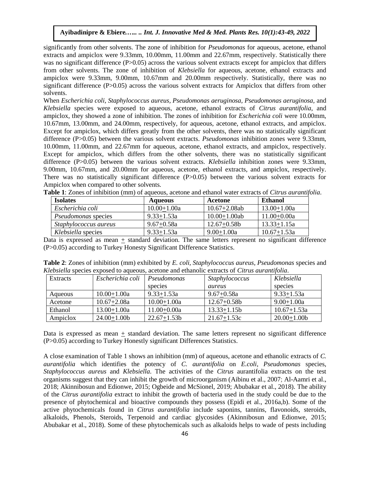significantly from other solvents. The zone of inhibition for *Pseudomonas* for aqueous, acetone, ethanol extracts and ampiclox were 9.33mm, 10.00mm, 11.00mm and 22.67mm, respectively. Statistically there was no significant difference (P>0.05) across the various solvent extracts except for ampiclox that differs from other solvents. The zone of inhibition of *Klebsiella* for aqueous, acetone, ethanol extracts and ampiclox were 9.33mm, 9.00mm, 10.67mm and 20.00mm respectively. Statistically, there was no significant difference (P>0.05) across the various solvent extracts for Ampiclox that differs from other solvents.

When *Escherichia coli, Staphylococcus aureus, Pseudomonas aeruginosa, Pseudomonas aeruginosa,* and *Klebsiella* species were exposed to aqueous, acetone, ethanol extracts of *Citrus aurantifolia*, and ampiclox, they showed a zone of inhibition. The zones of inhibition for *Escherichia coli* were 10.00mm, 10.67mm, 13.00mm, and 24.00mm, respectively, for aqueous, acetone, ethanol extracts, and ampiclox. Except for ampiclox, which differs greatly from the other solvents, there was no statistically significant difference (P>0.05) between the various solvent extracts. *Pseudomonas* inhibition zones were 9.33mm, 10.00mm, 11.00mm, and 22.67mm for aqueous, acetone, ethanol extracts, and ampiclox, respectively. Except for ampiclox, which differs from the other solvents, there was no statistically significant difference (P>0.05) between the various solvent extracts. *Klebsiella* inhibition zones were 9.33mm, 9.00mm, 10.67mm, and 20.00mm for aqueous, acetone, ethanol extracts, and ampiclox, respectively. There was no statistically significant difference (P>0.05) between the various solvent extracts for Ampiclox when compared to other solvents.

| <b>Isolates</b>            | <b>Aqueous</b>  | Acetone           | <b>Ethanol</b>  |
|----------------------------|-----------------|-------------------|-----------------|
| Escherichia coli           | $10.00 + 1.00a$ | $10.67 + 2.08$ ab | $13.00 + 1.00a$ |
| <i>Pseudomonas</i> species | $9.33 + 1.53a$  | $10.00 + 1.00$ ab | $11.00 + 0.00a$ |
| Staphylococcus aureus      | $9.67 + 0.58a$  | $12.67 + 0.58b$   | $13.33 + 1.15a$ |
| <i>Klebsiella</i> species  | $9.33 + 1.53a$  | $9.00 + 1.00a$    | $10.67 + 1.53a$ |

**Table 1**: Zones of inhibition (mm) of aqueous, acetone and ethanol water extracts of *Citrus aurantifolia*.

Data is expressed as mean + standard deviation. The same letters represent no significant difference (P>0.05) according to Turkey Honesty Significant Difference Statistics.

| Xiedsiena species exposed to aqueous, acetone and emanone extracts of Chris <i>durantifona</i> . |                  |                 |                 |                 |  |
|--------------------------------------------------------------------------------------------------|------------------|-----------------|-----------------|-----------------|--|
| Extracts                                                                                         | Escherichia coli | Pseudomonas     | Staphylococcus  | Klebsiella      |  |
|                                                                                                  |                  | species         | aureus          | species         |  |
| Aqueous                                                                                          | $10.00 + 1.00a$  | $9.33 + 1.53a$  | $9.67 + 0.58a$  | $9.33 + 1.53a$  |  |
| Acetone                                                                                          | $10.67 + 2.08a$  | $10.00 + 1.00a$ | $12.67 + 0.58b$ | $9.00 + 1.00a$  |  |
| Ethanol                                                                                          | $13.00 + 1.00a$  | $11.00 + 0.00a$ | $13.33 + 1.15b$ | $10.67 + 1.53a$ |  |
| Ampiclox                                                                                         | $24.00 + 1.00b$  | $22.67 + 1.53b$ | $21.67 + 1.53c$ | $20.00 + 1.00$  |  |

**Table 2**: Zones of inhibition (mm) exhibited by *E. coli, Staphylococcus aureus, Pseudomonas* species and *Klebsiella* species exposed to aqueous, acetone and ethanolic extracts of *Citrus aurantifolia*.

Data is expressed as mean + standard deviation. The same letters represent no significant difference (P>0.05) according to Turkey Honestly significant Differences Statistics.

A close examination of Table 1 shows an inhibition (mm) of aqueous, acetone and ethanolic extracts of *C. aurantifolia* which identifies the potency of *C. aurantifolia* on *E.coli*, *Pseudomonas* species, *Staphylococcus aureus* and *Klebsiella*. The activities of the *Citrus* aurantifolia extracts on the test organisms suggest that they can inhibit the growth of microorganism (Aibinu et al., 2007; Al-Aamri et al., 2018; Akinnibosun and Edionwe, 2015; Ogbeide and McSionel, 2019; Abubakar et al., 2018). The ability of the *Citrus aurantifolia* extract to inhibit the growth of bacteria used in the study could be due to the presence of phytochemical and bioactive compounds they possess (Epidi et al., 2016a,b). Some of the active phytochemicals found in *Citrus aurantifolia* include saponins, tannins, flavonoids, steroids, alkaloids, Phenols, Steroids, Terpenoid and cardiac glycosides (Akinnibosun and Edionwe, 2015; Abubakar et al., 2018). Some of these phytochemicals such as alkaloids helps to wade of pests including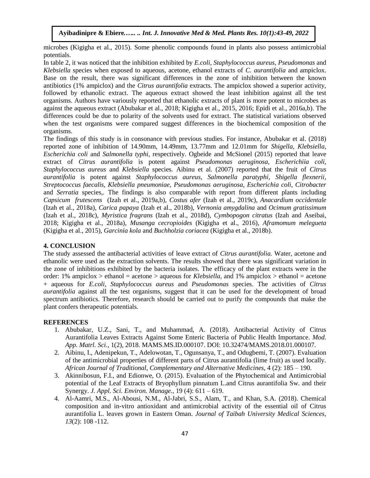microbes (Kigigha et al., 2015). Some phenolic compounds found in plants also possess antimicrobial potentials.

In table 2, it was noticed that the inhibition exhibited by *E.coli, Staphylococcus aureus, Pseudomonas* and *Klebsiella* species when exposed to aqueous, acetone, ethanol extracts of *C. aurantifolia* and ampiclox. Base on the result, there was significant differences in the zone of inhibition between the known antibiotics (1% ampiclox) and the *Citrus aurantifolia* extracts. The ampiclox showed a superior activity, followed by ethanolic extract. The aqueous extract showed the least inhibition against all the test organisms. Authors have variously reported that ethanolic extracts of plant is more potent to microbes as against the aqueous extract (Abubakar et al., 2018; Kigigha et al., 2015, 2016; Epidi et al., 2016a,b). The differences could be due to polarity of the solvents used for extract. The statistical variations observed when the test organisms were compared suggest differences in the biochemical composition of the organisms.

The findings of this study is in consonance with previous studies. For instance, Abubakar et al. (2018) reported zone of inhibition of 14.90mm, 14.49mm, 13.77mm and 12.01mm for *Shigella, Klebsiella, Escherichia coli* and *Salmonella typhi*, respectively. Ogbeide and McSionel (2015) reported that leave extract of *Citrus aurantifolia* is potent against *Pseudomonas aeruginosa, Escherichiia coli, Staphylococcus aureus* and *Klebsiella* species*.* Aibinu et al. (2007) reported that the fruit of *Citrus aurantifolia* is potent against *Staphylococcus aureus, Salmonella paratyphi, Shigella flexnerii, Streptococcus faecalis, Klebsiella pneumoniae, Pseudomonas aeruginosa, Escherichia coli, Citrobacter*  and *Serratia* species*,.* The findings is also comparable with report from different plants including *Capsicum frutescens* (Izah et al., 2019a,b), *Costus afer* (Izah et al., 2019c), *Anacardium occidentale* (Izah et al., 2018a), *Carica papaya* (Izah et al., 2018b), *Vernonia amygdalina* and *Ocimum gratissimum* (Izah et al., 2018c), *Myristica fragrans* (Izah et al., 2018d), *Cymbopogon citratus* (Izah and Aseibai, 2018; Kigigha et al., 2018a), *Musanga cecropioides* (Kigigha et al., 2016), *Aframomum melegueta*  (Kigigha et al., 2015), *Garcinia kola* and *Buchholzia coriacea* (Kigigha et al., 2018b).

# **4. CONCLUSION**

The study assessed the antibacterial activities of leave extract of *Citrus aurantifolia.* Water, acetone and ethanolic were used as the extraction solvents. The results showed that there was significant variation in the zone of inhibitions exhibited by the bacteria isolates. The efficacy of the plant extracts were in the order: 1% ampiclox > ethanol = acetone > aqueous for *Klebsiella*, and 1% ampiclox > ethanol = acetone + aqueous for *E.coli, Staphylococcus aureus* and *Pseudomonas* species. The activities of *Citrus aurantifolia* against all the test organisms, suggest that it can be used for the development of broad spectrum antibiotics. Therefore, research should be carried out to purify the compounds that make the plant confers therapeutic potentials.

#### **REFERENCES**

- 1. Abubakar, U.Z., Sani, T., and Muhammad, A. (2018). Antibacterial Activity of Citrus Aurantifolia Leaves Extracts Against Some Enteric Bacteria of Public Health Importance. *Mod. App. Matrl. Sci.,* 1(2), 2018. MAMS.MS.ID.000107. DOI: 10.32474/MAMS.2018.01.000107.
- 2. Aibinu, I., Adenipekun, T., Adelowotan, T., Ogunsanya, T., and Odugbemi, T. (2007). Evaluation of the antimicrobial properties of different parts of Citrus aurantifolia (lime fruit) as used locally. *African Journal of Traditional, Complementary and Alternative Medicines,* 4 (2): 185 – 190.
- 3. Akinnibosun, F.I., and Edionwe, O. (2015). Evaluation of the Phytochemical and Antimicrobial potential of the Leaf Extracts of Bryophyllum pinnatum L.and Citrus aurantifolia Sw. and their Synergy. *J. Appl. Sci. Environ. Manage.,* 19 (4): 611 – 619.
- 4. Al-Aamri, M.S., Al-Abousi, N.M., Al-Jabri, S.S., Alam, T., and Khan, S.A. (2018). Chemical composition and in-vitro antioxidant and antimicrobial activity of the essential oil of Citrus aurantifolia L. leaves grown in Eastern Oman. *Journal of Taibah University Medical Sciences, 13*(2): 108 -112.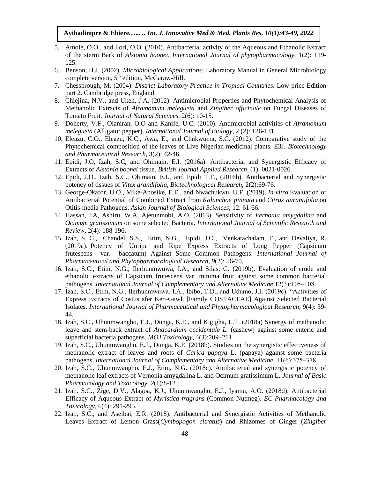- 5. Amole, O.O., and Ilori, O.O. (2010). Antibacterial activity of the Aqueous and Ethanolic Extract of the sterm Bark of *Alstonia boonei. International Journal of phytopharmacology*, 1(2): 119- 125.
- 6. Benson, H.J. (2002). *Microbiological Applications:* Laboratory Manual in General Microbiology complete version,  $5<sup>th</sup>$  edition, McGaraw-Hill.
- 7. Chessbrough, M. (2004). *District Laboratory Practice in Tropical Countries.* Low price Edition part 2. Cambridge press, England.
- 8. Chiejina, N.V., and Ukeh, J.A. (2012). Antimicrobial Properties and Phytochemical Analysis of Methanolic Extracts of *Aframomum melegueta* and *Zingiber officinale* on Fungal Diseases of Tomato Fruit. *Journal of Natural Sciences,* 2(6): 10-15.
- 9. Doherty, V.F., Olaniran, O.O and Kanife, U.C. (2010). Antimicrobial activities of *Aframomum melegueta* (Alligator pepper). *International Journal of Biology*, 2 (2): 126-131.
- 10. Eleazu, C.O., Eleazu, K.C., Awa, E., and Chukwuma, S.C. (2012). Comparative study of the Phytochemical composition of the leaves of Live Nigerian medicinal plants. E3J. *Biotechnology and Pharmaceutical Research*, 3(2): 42-46.
- 11. Epidi, J.O, Izah, S.C, and Ohimain, E.I. (2016a). Antibacterial and Synergistic Efficacy of Extracts of *Alstonia boonei* tissue. *British Journal Applied Research,* (1): 0021-0026.
- 12. Epidi, J.O., Izah, S.C., Ohimain, E.I., and Epidi T.T., (2016b). Antibacterial and Synergistic potency of tissues of *Vitex grandifolia, Biotechnological Research*, 2(2):69-76.
- 13. George-Okafor, U.O., Mike-Anosike, E.E., and Nwachukwu, U.F. (2019). *In vitro* Evaluation of Antibacterial Potential of Combined Extract from *Kalanchoe pinnata* and *Citrus aurantifolia* on Otitis-media Pathogens. *Asian Journal of Biological Sciences,* 12: 61-66.
- 14. Hassan, I.A, Ashiru, W.A, Ajetunmobi, A.O. (2013). Sensitivity of *Vernonia amygdalina* and *Ocimum gratissimum* on some selected Bacteria. *International Journal of Scientific Research and Review,* 2(4): 188-196.
- 15. Izah, S. C., Chandel, S.S., Etim, N.G., Epidi, J.O., Venkatachalam, T., and Devaliya, R. (2019a). Potency of Unripe and Ripe Express Extracts of Long Pepper (Capsicum frutescens var. baccatum) Against Some Common Pathogens. *International Journal of Pharmaceutical and Phytopharmacological Research, 9*(2): 56-70.
- 16. Izah, S.C., Etim, N.G., Ilerhunmwuwa, I.A., and Silas, G. (2019b). Evaluation of crude and ethanolic extracts of Capsicum frutescens var. minima fruit against some common bacterial pathogens. *International Journal of Complementary and Alternative Medicine* 12(3):105–108.
- 17. Izah, S.C., Etim, N.G., Ilerhunmwuwa, I.A., Ibibo, T.D., and Udumo, J.J. (2019c). "Activities of Express Extracts of Costus afer Ker–Gawl. [Family COSTACEAE] Against Selected Bacterial Isolates. *International Journal of Pharmaceutical and Phytopharmacological Research,* 9(4): 39- 44.
- 18. Izah, S.C., Uhunmwangho, E.J., Dunga, K.E., and Kigigha, L.T. (2018a) Synergy of methanolic leave and stem-back extract of *Anacardium occidentale L.* (cashew) against some enteric and superficial bacteria pathogens. *MOJ Toxicology*, 4(3):209–211.
- 19. Izah, S.C., Uhunmwangho, E.J., Dunga, K.E. (2018b). Studies on the synergistic effectiveness of methanolic extract of leaves and roots of *Carica papaya* L. (papaya) against some bacteria pathogens. *International Journal of Complementary and Alternative Medicine*, 11(6):375–378.
- 20. Izah, S.C., Uhunmwangho, E.J., Etim, N.G. (2018c). Antibacterial and synergistic potency of methanolic leaf extracts of Vernonia amygdalina L. and Ocimum gratissimum L. *Journal of Basic Pharmacology and Toxicology, 2*(1):8-12
- 21. Izah. S.C., Zige, D.V., Alagoa, K.J., Uhunmwangho, E.J., Iyamu, A.O. (2018d). Antibacterial Efficacy of Aqueous Extract of *Myristica fragrans* (Common Nutmeg). *EC Pharmacology and Toxicology,* 6(4): 291-295.
- 22. Izah, S.C., and Aseibai, E.R. (2018). Antibacterial and Synergistic Activities of Methanolic Leaves Extract of Lemon Grass(*Cymbopogon citratus*) and Rhizomes of Ginger (*Zingiber*